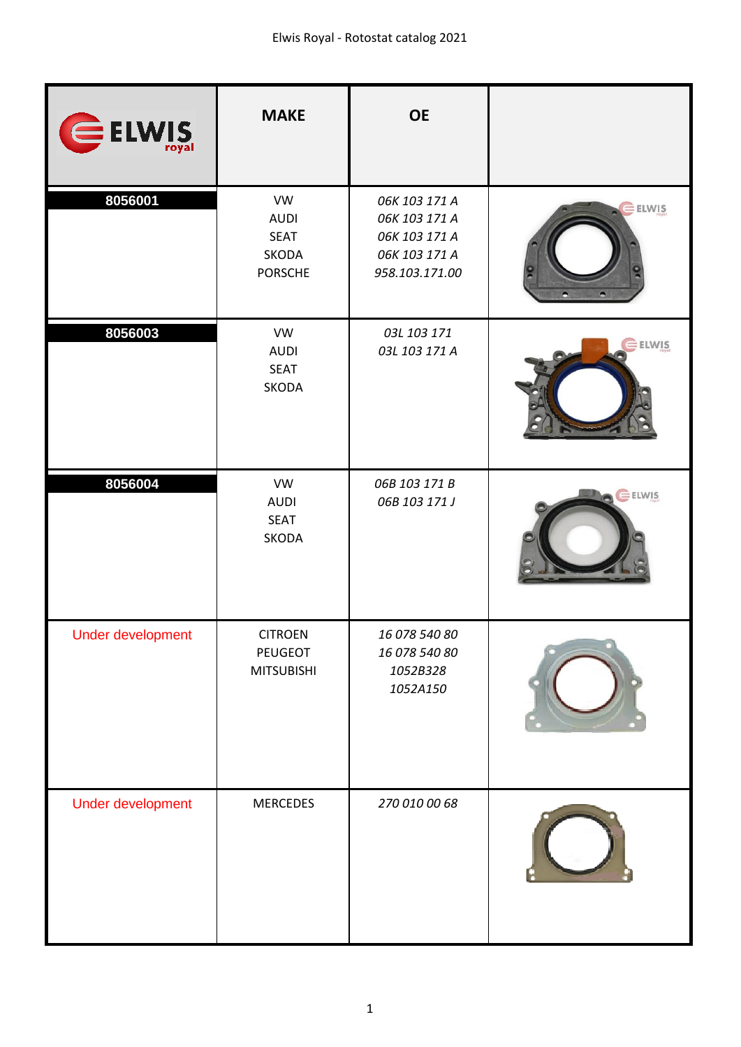| ELWIS             | <b>MAKE</b>                                                        | <b>OE</b>                                                                          |       |
|-------------------|--------------------------------------------------------------------|------------------------------------------------------------------------------------|-------|
| 8056001           | <b>VW</b><br><b>AUDI</b><br><b>SEAT</b><br>SKODA<br><b>PORSCHE</b> | 06K 103 171 A<br>06K 103 171 A<br>06K 103 171 A<br>06K 103 171 A<br>958.103.171.00 | ELWIS |
| 8056003           | <b>VW</b><br><b>AUDI</b><br><b>SEAT</b><br>SKODA                   | 03L 103 171<br>03L 103 171 A                                                       | ELWIS |
| 8056004           | <b>VW</b><br><b>AUDI</b><br><b>SEAT</b><br>SKODA                   | 06B 103 171 B<br>06B 103 171 J                                                     | ELWIS |
| Under development | <b>CITROEN</b><br>PEUGEOT<br><b>MITSUBISHI</b>                     | 16 078 540 80<br>16 078 540 80<br>1052B328<br>1052A150                             |       |
| Under development | <b>MERCEDES</b>                                                    | 270 010 00 68                                                                      |       |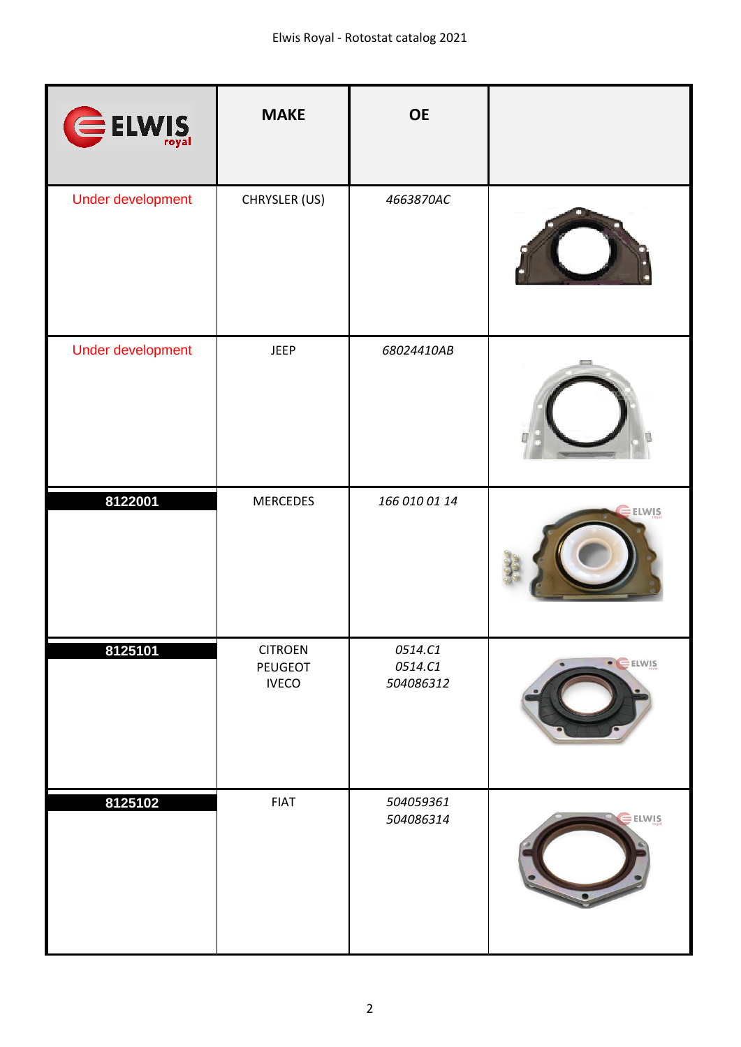| ELWIS             | <b>MAKE</b>                               | <b>OE</b>                       |              |
|-------------------|-------------------------------------------|---------------------------------|--------------|
| Under development | CHRYSLER (US)                             | 4663870AC                       |              |
| Under development | <b>JEEP</b>                               | 68024410AB                      |              |
| 8122001           | <b>MERCEDES</b>                           | 166 010 01 14                   | $E$ ELWIS    |
| 8125101           | <b>CITROEN</b><br>PEUGEOT<br><b>IVECO</b> | 0514.C1<br>0514.C1<br>504086312 | · ELWIS      |
| 8125102           | <b>FIAT</b>                               | 504059361<br>504086314          | <b>ELWIS</b> |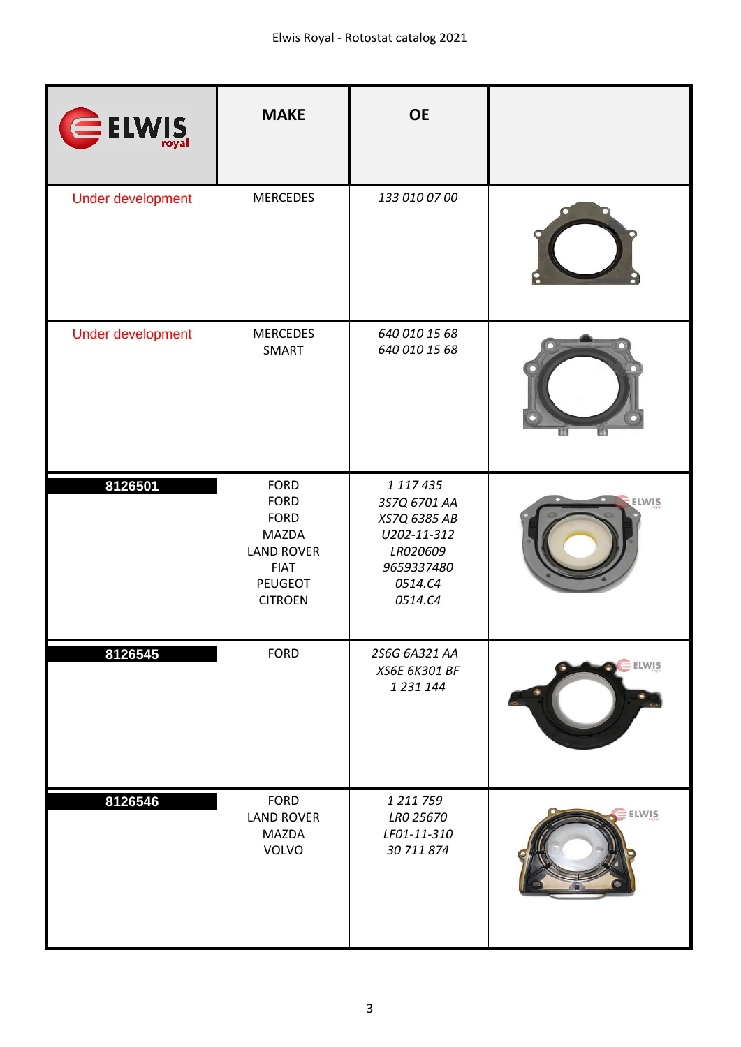| ELWIS             | <b>MAKE</b>                                                                                                                | <b>OE</b>                                                                                                |       |
|-------------------|----------------------------------------------------------------------------------------------------------------------------|----------------------------------------------------------------------------------------------------------|-------|
| Under development | <b>MERCEDES</b>                                                                                                            | 133 010 07 00                                                                                            |       |
| Under development | <b>MERCEDES</b><br>SMART                                                                                                   | 640 010 15 68<br>640 010 15 68                                                                           |       |
| 8126501           | <b>FORD</b><br><b>FORD</b><br><b>FORD</b><br><b>MAZDA</b><br><b>LAND ROVER</b><br><b>FIAT</b><br>PEUGEOT<br><b>CITROEN</b> | 1 117 435<br>3S7Q 6701 AA<br>XS7Q 6385 AB<br>U202-11-312<br>LR020609<br>9659337480<br>0514.C4<br>0514.C4 | ELWIS |
| 8126545           | <b>FORD</b>                                                                                                                | 2S6G 6A321 AA<br>XS6E 6K301 BF<br>1 231 144                                                              | ELWIS |
| 8126546           | <b>FORD</b><br><b>LAND ROVER</b><br><b>MAZDA</b><br>VOLVO                                                                  | 1 211 759<br>LR0 25670<br>LF01-11-310<br>30 711 874                                                      | ELWIS |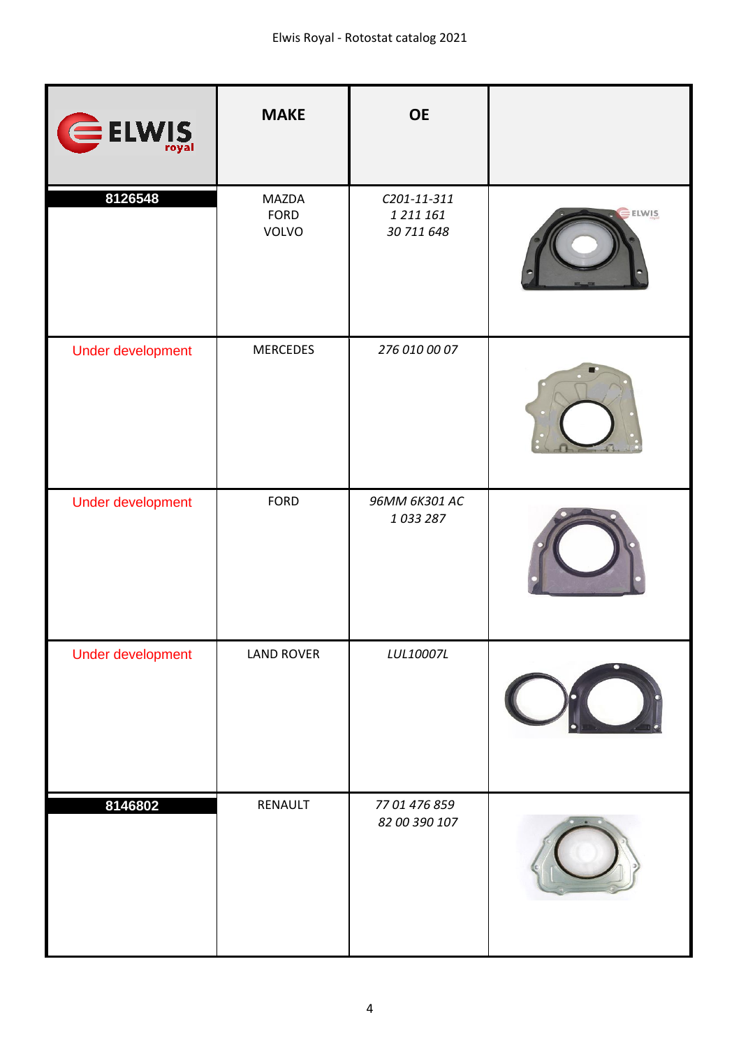| ELWIS             | <b>MAKE</b>            | <b>OE</b>                              |              |
|-------------------|------------------------|----------------------------------------|--------------|
| 8126548           | MAZDA<br>FORD<br>VOLVO | C201-11-311<br>1 211 161<br>30 711 648 | <b>ELWIS</b> |
| Under development | <b>MERCEDES</b>        | 276 010 00 07                          |              |
| Under development | <b>FORD</b>            | 96MM 6K301 AC<br>1033287               |              |
| Under development | <b>LAND ROVER</b>      | LUL10007L                              |              |
| 8146802           | RENAULT                | 77 01 476 859<br>82 00 390 107         |              |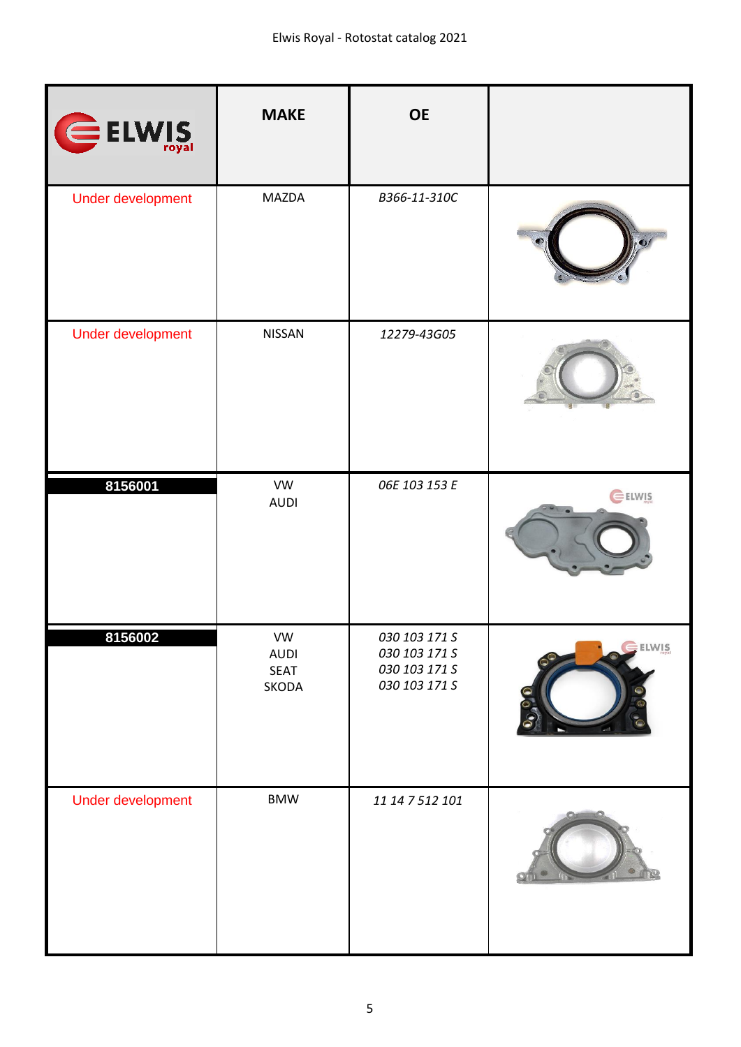| ELWIS                    | <b>MAKE</b>                               | <b>OE</b>                                                        |              |
|--------------------------|-------------------------------------------|------------------------------------------------------------------|--------------|
| Under development        | MAZDA                                     | B366-11-310C                                                     |              |
| Under development        | NISSAN                                    | 12279-43G05                                                      |              |
| 8156001                  | VW<br><b>AUDI</b>                         | 06E 103 153 E                                                    | <b>ELWIS</b> |
| 8156002                  | VW<br><b>AUDI</b><br><b>SEAT</b><br>SKODA | 030 103 171 S<br>030 103 171 S<br>030 103 171 S<br>030 103 171 S | ELWIS        |
| <b>Under development</b> | <b>BMW</b>                                | 11 14 7 512 101                                                  |              |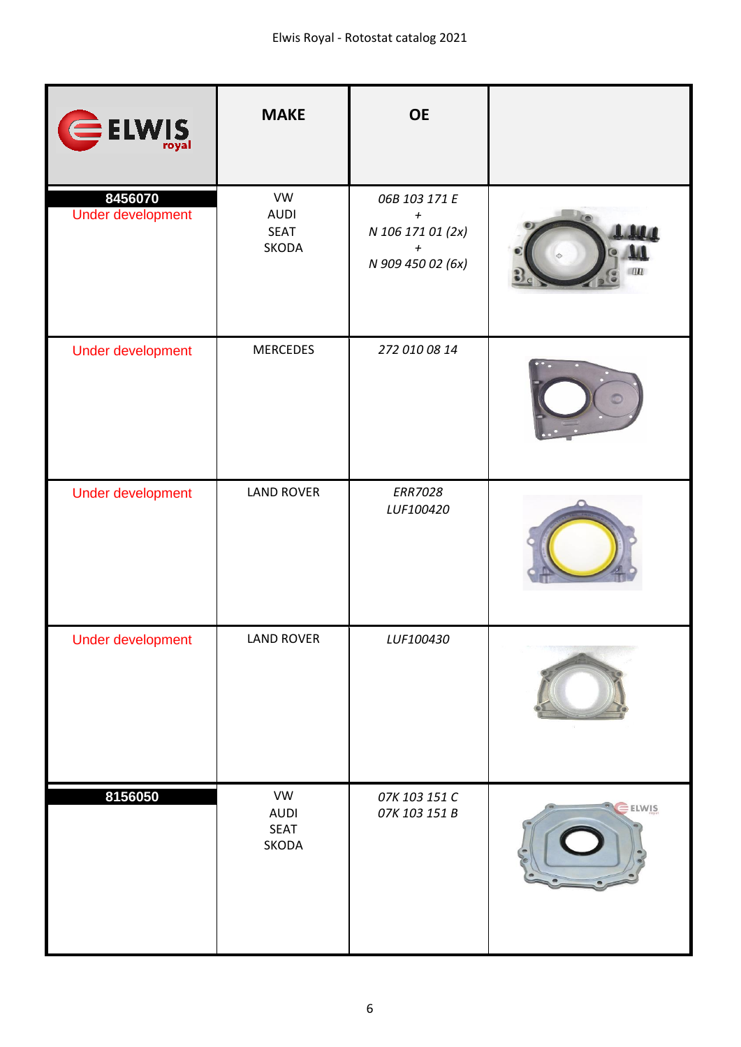| ELWIS                        | <b>MAKE</b>                               | <b>OE</b>                                                                         |        |
|------------------------------|-------------------------------------------|-----------------------------------------------------------------------------------|--------|
| 8456070<br>Under development | VW<br><b>AUDI</b><br><b>SEAT</b><br>SKODA | 06B 103 171 E<br>$\pmb{+}$<br>N 106 171 01 (2x)<br>$\pmb{+}$<br>N 909 450 02 (6x) | w      |
| Under development            | <b>MERCEDES</b>                           | 272 010 08 14                                                                     |        |
| Under development            | <b>LAND ROVER</b>                         | <b>ERR7028</b><br>LUF100420                                                       |        |
| Under development            | <b>LAND ROVER</b>                         | LUF100430                                                                         |        |
| 8156050                      | VW<br><b>AUDI</b><br>SEAT<br>SKODA        | 07K 103 151 C<br>07K 103 151 B                                                    | ELWIS. |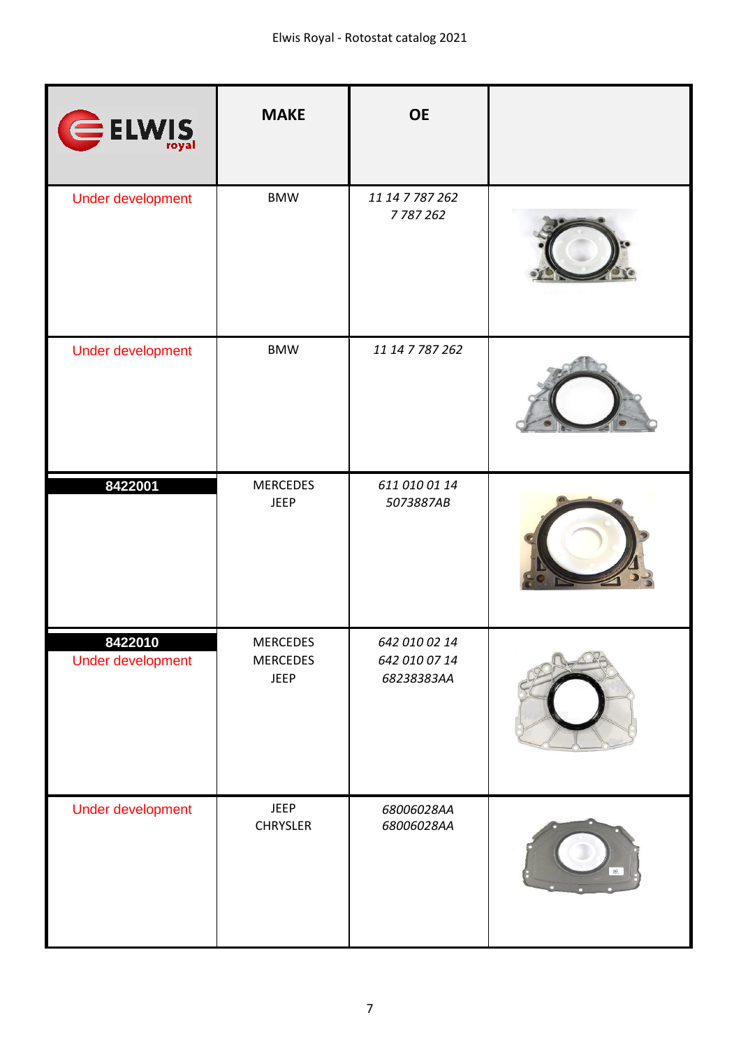| ELWIS                        | <b>MAKE</b>                                       | <b>OE</b>                                    |     |
|------------------------------|---------------------------------------------------|----------------------------------------------|-----|
| Under development            | <b>BMW</b>                                        | 11 14 7 787 262<br>7787262                   |     |
| Under development            | <b>BMW</b>                                        | 11 14 7 787 262                              |     |
| 8422001                      | <b>MERCEDES</b><br><b>JEEP</b>                    | 611 010 01 14<br>5073887AB                   |     |
| 8422010<br>Under development | <b>MERCEDES</b><br><b>MERCEDES</b><br><b>JEEP</b> | 642 010 02 14<br>642 010 07 14<br>68238383AA |     |
| Under development            | <b>JEEP</b><br><b>CHRYSLER</b>                    | 68006028AA<br>68006028AA                     | B2. |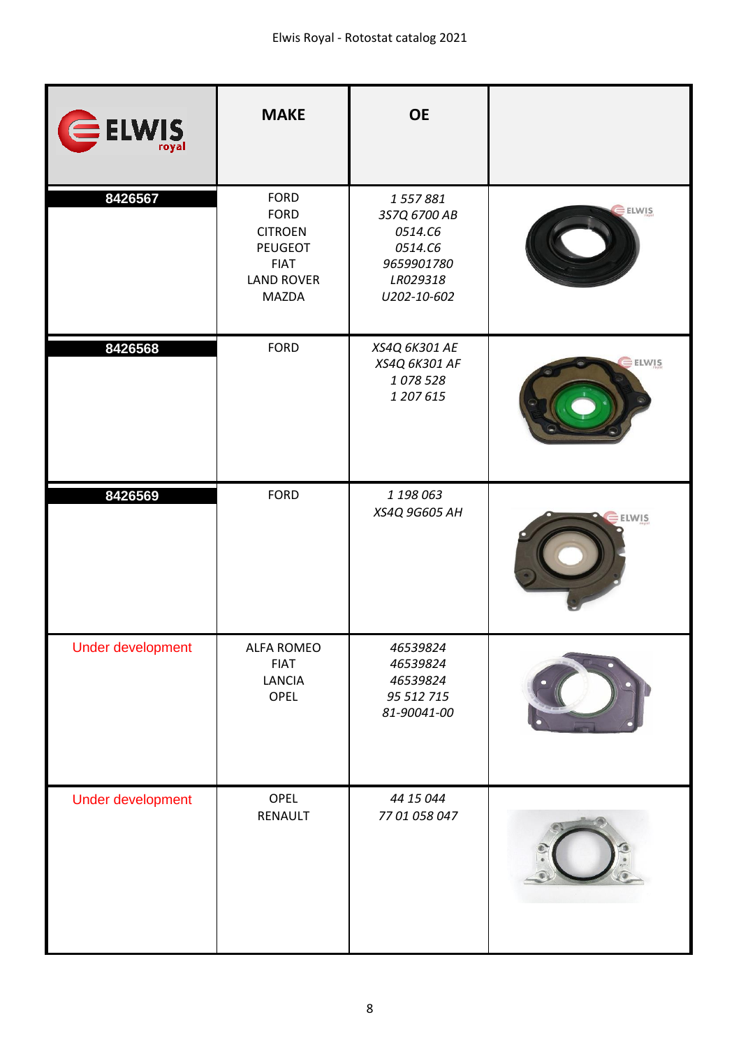| ELWIS                    | <b>MAKE</b>                                                                                                 | <b>OE</b>                                                                              |              |
|--------------------------|-------------------------------------------------------------------------------------------------------------|----------------------------------------------------------------------------------------|--------------|
| 8426567                  | <b>FORD</b><br><b>FORD</b><br><b>CITROEN</b><br><b>PEUGEOT</b><br><b>FIAT</b><br><b>LAND ROVER</b><br>MAZDA | 1557881<br>3S7Q 6700 AB<br>0514.C6<br>0514.C6<br>9659901780<br>LR029318<br>U202-10-602 | <b>ELWIS</b> |
| 8426568                  | <b>FORD</b>                                                                                                 | XS4Q 6K301 AE<br>XS4Q 6K301 AF<br>1078528<br>1 207 615                                 | <b>ELWIS</b> |
| 8426569                  | <b>FORD</b>                                                                                                 | 1 198 063<br>XS4Q 9G605 AH                                                             | ELWIS        |
| Under development        | <b>ALFA ROMEO</b><br><b>FIAT</b><br>LANCIA<br>OPEL                                                          | 46539824<br>46539824<br>46539824<br>95 512 715<br>81-90041-00                          |              |
| <b>Under development</b> | OPEL<br>RENAULT                                                                                             | 44 15 044<br>77 01 058 047                                                             |              |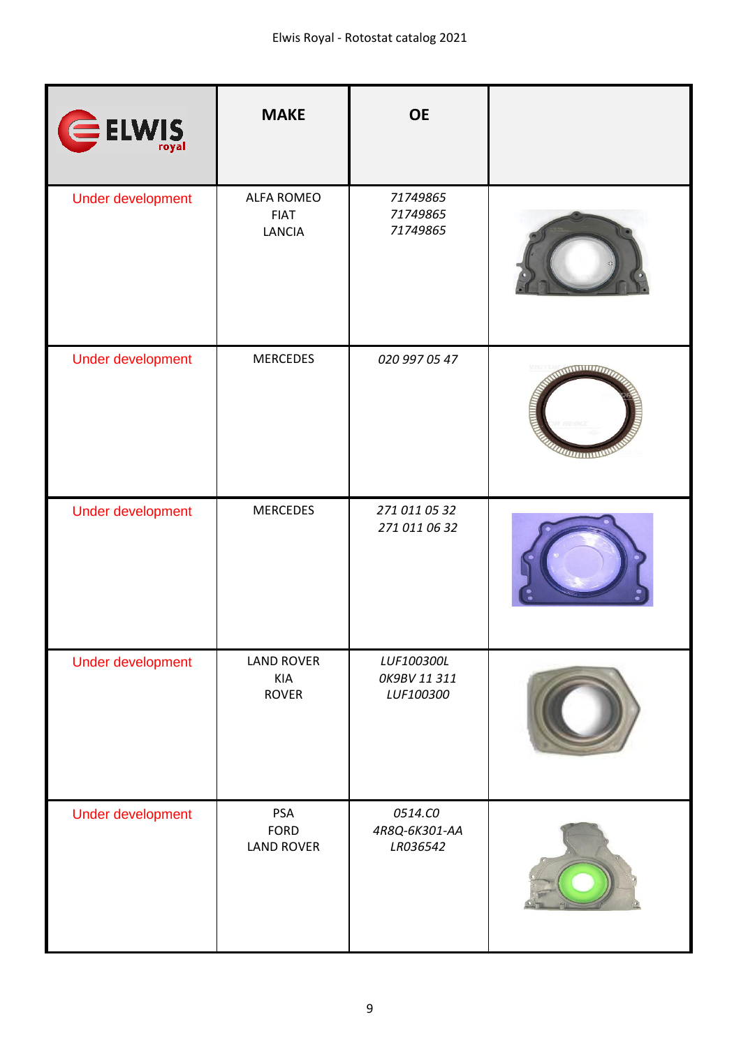| ELWIS             | <b>MAKE</b>                                | <b>OE</b>                               |                                                                                          |
|-------------------|--------------------------------------------|-----------------------------------------|------------------------------------------------------------------------------------------|
| Under development | <b>ALFA ROMEO</b><br><b>FIAT</b><br>LANCIA | 71749865<br>71749865<br>71749865        |                                                                                          |
| Under development | <b>MERCEDES</b>                            | 020 997 05 47                           | <b>NUMBER OF</b><br><b>COLLEGE STATE</b><br><i><b>OUTRO TARRITARY OF THE COMPANY</b></i> |
| Under development | <b>MERCEDES</b>                            | 271 011 05 32<br>271 011 06 32          |                                                                                          |
| Under development | <b>LAND ROVER</b><br>KIA<br><b>ROVER</b>   | LUF100300L<br>OK9BV 11 311<br>LUF100300 |                                                                                          |
| Under development | PSA<br><b>FORD</b><br><b>LAND ROVER</b>    | 0514.CO<br>4R8Q-6K301-AA<br>LR036542    |                                                                                          |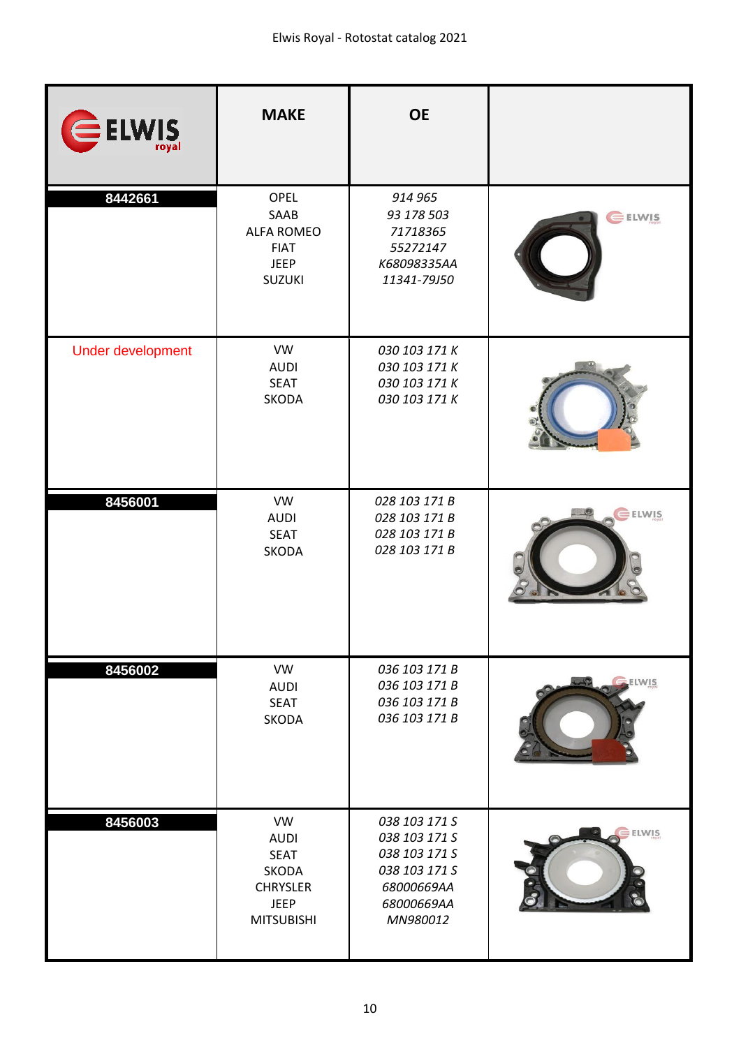| ELWIS             | <b>MAKE</b>                                                                                                    | <b>OE</b>                                                                                                |                  |
|-------------------|----------------------------------------------------------------------------------------------------------------|----------------------------------------------------------------------------------------------------------|------------------|
| 8442661           | <b>OPEL</b><br>SAAB<br><b>ALFA ROMEO</b><br><b>FIAT</b><br><b>JEEP</b><br><b>SUZUKI</b>                        | 914 965<br>93 178 503<br>71718365<br>55272147<br>K68098335AA<br>11341-79J50                              | ELWIS            |
| Under development | <b>VW</b><br><b>AUDI</b><br><b>SEAT</b><br><b>SKODA</b>                                                        | 030 103 171 K<br>030 103 171 K<br>030 103 171 K<br>030 103 171 K                                         |                  |
| 8456001           | <b>VW</b><br><b>AUDI</b><br><b>SEAT</b><br>SKODA                                                               | 028 103 171 B<br>028 103 171 B<br>028 103 171 B<br>028 103 171 B                                         | $E$ <b>ELWIS</b> |
| 8456002           | <b>VW</b><br><b>AUDI</b><br><b>SEAT</b><br>SKODA                                                               | 036 103 171 B<br>036 103 171 B<br>036 103 171 B<br>036 103 171 B                                         | ELWIS            |
| 8456003           | <b>VW</b><br><b>AUDI</b><br><b>SEAT</b><br><b>SKODA</b><br><b>CHRYSLER</b><br><b>JEEP</b><br><b>MITSUBISHI</b> | 038 103 171 S<br>038 103 171 S<br>038 103 171 S<br>038 103 171 S<br>68000669AA<br>68000669AA<br>MN980012 | <b>ELWIS</b>     |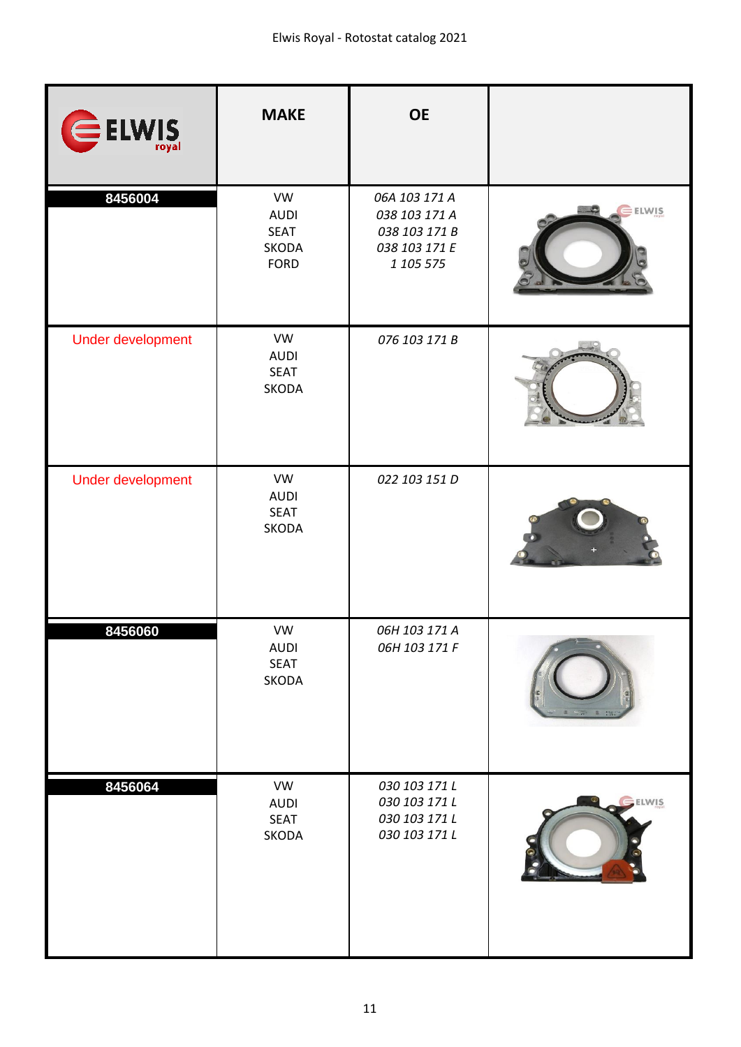| ELWIS             | <b>MAKE</b>                                                            | <b>OE</b>                                                                     |              |
|-------------------|------------------------------------------------------------------------|-------------------------------------------------------------------------------|--------------|
| 8456004           | <b>VW</b><br><b>AUDI</b><br><b>SEAT</b><br><b>SKODA</b><br><b>FORD</b> | 06A 103 171 A<br>038 103 171 A<br>038 103 171 B<br>038 103 171 E<br>1 105 575 | ELWIS.       |
| Under development | VW<br><b>AUDI</b><br><b>SEAT</b><br>SKODA                              | 076 103 171 B                                                                 |              |
| Under development | VW<br><b>AUDI</b><br><b>SEAT</b><br>SKODA                              | 022 103 151 D                                                                 |              |
| 8456060           | <b>VW</b><br><b>AUDI</b><br><b>SEAT</b><br>SKODA                       | 06H 103 171 A<br>06H 103 171 F                                                |              |
| 8456064           | VW<br><b>AUDI</b><br><b>SEAT</b><br>SKODA                              | 030 103 171 L<br>030 103 171 L<br>030 103 171 L<br>030 103 171 L              | <b>ELWIS</b> |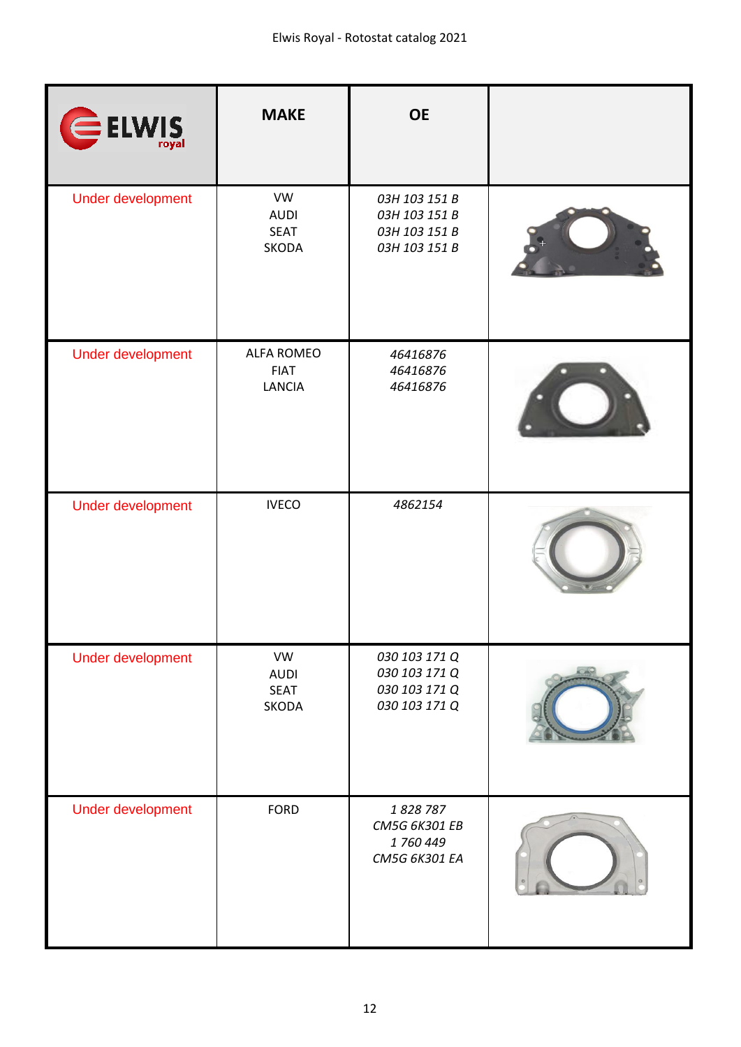| ELWIS             | <b>MAKE</b>                                | <b>OE</b>                                                        |  |
|-------------------|--------------------------------------------|------------------------------------------------------------------|--|
| Under development | VW<br><b>AUDI</b><br><b>SEAT</b><br>SKODA  | 03H 103 151 B<br>03H 103 151 B<br>03H 103 151 B<br>03H 103 151 B |  |
| Under development | <b>ALFA ROMEO</b><br><b>FIAT</b><br>LANCIA | 46416876<br>46416876<br>46416876                                 |  |
| Under development | <b>IVECO</b>                               | 4862154                                                          |  |
| Under development | VW<br><b>AUDI</b><br><b>SEAT</b><br>SKODA  | 030 103 171 Q<br>030 103 171 Q<br>030 103 171 Q<br>030 103 171 Q |  |
| Under development | <b>FORD</b>                                | 1828787<br>CM5G 6K301 EB<br>1760449<br>CM5G 6K301 EA             |  |